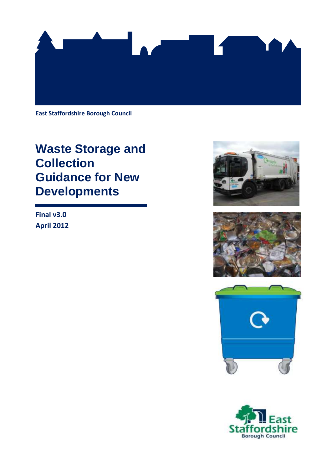

**East Staffordshire Borough Council**

# **Waste Storage and Collection Guidance for New Developments**

**Final v3.0 April 2012**







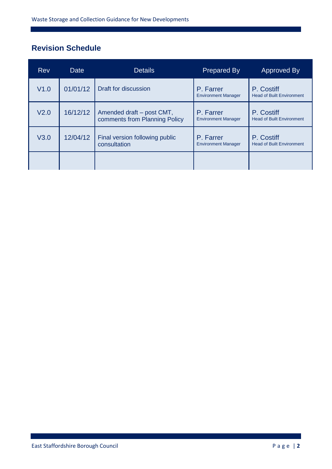# **Revision Schedule**

| <b>Rev</b>       | Date     | <b>Details</b>                                             | <b>Prepared By</b>                      | Approved By                                    |
|------------------|----------|------------------------------------------------------------|-----------------------------------------|------------------------------------------------|
| V1.0             | 01/01/12 | Draft for discussion                                       | P. Farrer<br><b>Environment Manager</b> | P. Costiff<br><b>Head of Built Environment</b> |
| V <sub>2.0</sub> | 16/12/12 | Amended draft - post CMT,<br>comments from Planning Policy | P. Farrer<br><b>Environment Manager</b> | P. Costiff<br><b>Head of Built Environment</b> |
| V3.0             | 12/04/12 | Final version following public<br>consultation             | P. Farrer<br><b>Environment Manager</b> | P. Costiff<br><b>Head of Built Environment</b> |
|                  |          |                                                            |                                         |                                                |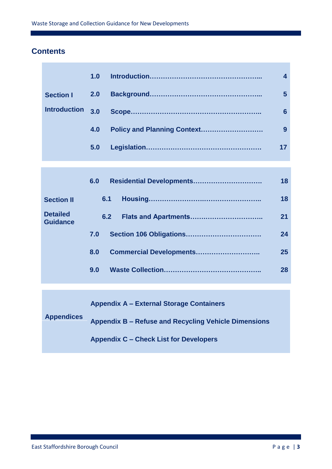### **Contents**

|                     | 1.0 |   |
|---------------------|-----|---|
| <b>Section I</b>    |     | 5 |
| <b>Introduction</b> | 3.0 | 6 |
|                     | 4.0 | 9 |
|                     | 5.0 |   |
|                     |     |   |

|                                    | 6.0 | Residential Developments | 18 |
|------------------------------------|-----|--------------------------|----|
| <b>Section II</b>                  | 6.1 |                          | 18 |
| <b>Detailed</b><br><b>Guidance</b> | 6.2 |                          | 21 |
|                                    | 7.0 |                          | 24 |
|                                    | 8.0 | Commercial Developments  | 25 |
|                                    | 9.0 |                          | 28 |

**Appendix A – External Storage Containers**

**Appendices Appendix B – Refuse and Recycling Vehicle Dimensions**

**Appendix C – Check List for Developers**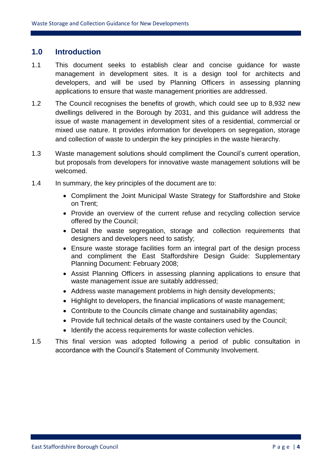### **1.0 Introduction**

- 1.1 This document seeks to establish clear and concise guidance for waste management in development sites. It is a design tool for architects and developers, and will be used by Planning Officers in assessing planning applications to ensure that waste management priorities are addressed.
- 1.2 The Council recognises the benefits of growth, which could see up to 8,932 new dwellings delivered in the Borough by 2031, and this guidance will address the issue of waste management in development sites of a residential, commercial or mixed use nature. It provides information for developers on segregation, storage and collection of waste to underpin the key principles in the waste hierarchy.
- 1.3 Waste management solutions should compliment the Council's current operation, but proposals from developers for innovative waste management solutions will be welcomed.
- 1.4 In summary, the key principles of the document are to:
	- Compliment the Joint Municipal Waste Strategy for Staffordshire and Stoke on Trent;
	- Provide an overview of the current refuse and recycling collection service offered by the Council;
	- Detail the waste segregation, storage and collection requirements that designers and developers need to satisfy;
	- Ensure waste storage facilities form an integral part of the design process and compliment the East Staffordshire Design Guide: Supplementary Planning Document: February 2008;
	- Assist Planning Officers in assessing planning applications to ensure that waste management issue are suitably addressed;
	- Address waste management problems in high density developments:
	- Highlight to developers, the financial implications of waste management;
	- Contribute to the Councils climate change and sustainability agendas;
	- Provide full technical details of the waste containers used by the Council;
	- Identify the access requirements for waste collection vehicles.
- 1.5 This final version was adopted following a period of public consultation in accordance with the Council's Statement of Community Involvement.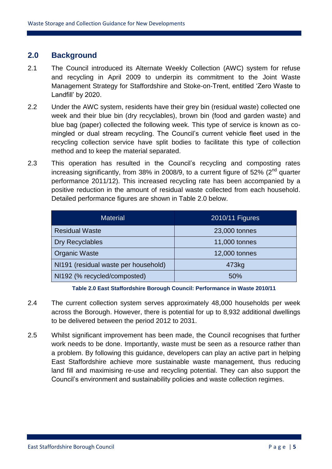### **2.0 Background**

- 2.1 The Council introduced its Alternate Weekly Collection (AWC) system for refuse and recycling in April 2009 to underpin its commitment to the Joint Waste Management Strategy for Staffordshire and Stoke-on-Trent, entitled 'Zero Waste to Landfill' by 2020.
- 2.2 Under the AWC system, residents have their grey bin (residual waste) collected one week and their blue bin (dry recyclables), brown bin (food and garden waste) and blue bag (paper) collected the following week. This type of service is known as comingled or dual stream recycling. The Council's current vehicle fleet used in the recycling collection service have split bodies to facilitate this type of collection method and to keep the material separated.
- 2.3 This operation has resulted in the Council's recycling and composting rates increasing significantly, from 38% in 2008/9, to a current figure of 52% ( $2<sup>nd</sup>$  quarter performance 2011/12). This increased recycling rate has been accompanied by a positive reduction in the amount of residual waste collected from each household. Detailed performance figures are shown in Table 2.0 below.

| <b>Material</b>                      | 2010/11 Figures |
|--------------------------------------|-----------------|
| <b>Residual Waste</b>                | 23,000 tonnes   |
| <b>Dry Recyclables</b>               | 11,000 tonnes   |
| <b>Organic Waste</b>                 | 12,000 tonnes   |
| NI191 (residual waste per household) | 473kg           |
| NI192 (% recycled/composted)         | 50%             |

**Table 2.0 East Staffordshire Borough Council: Performance in Waste 2010/11** 

- 2.4 The current collection system serves approximately 48,000 households per week across the Borough. However, there is potential for up to 8,932 additional dwellings to be delivered between the period 2012 to 2031.
- 2.5 Whilst significant improvement has been made, the Council recognises that further work needs to be done. Importantly, waste must be seen as a resource rather than a problem. By following this guidance, developers can play an active part in helping East Staffordshire achieve more sustainable waste management, thus reducing land fill and maximising re-use and recycling potential. They can also support the Council's environment and sustainability policies and waste collection regimes.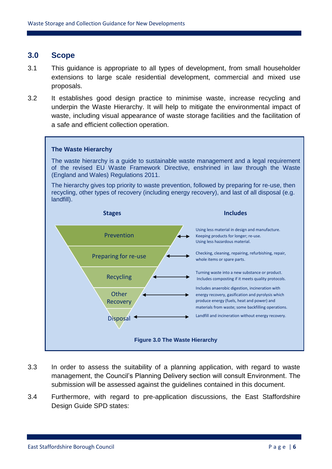### **3.0 Scope**

- 3.1 This guidance is appropriate to all types of development, from small householder extensions to large scale residential development, commercial and mixed use proposals.
- 3.2 It establishes good design practice to minimise waste, increase recycling and underpin the Waste Hierarchy. It will help to mitigate the environmental impact of waste, including visual appearance of waste storage facilities and the facilitation of a safe and efficient collection operation.



- 3.3 In order to assess the suitability of a planning application, with regard to waste management, the Council's Planning Delivery section will consult Environment. The submission will be assessed against the guidelines contained in this document.
- 3.4 Furthermore, with regard to pre-application discussions, the East Staffordshire Design Guide SPD states: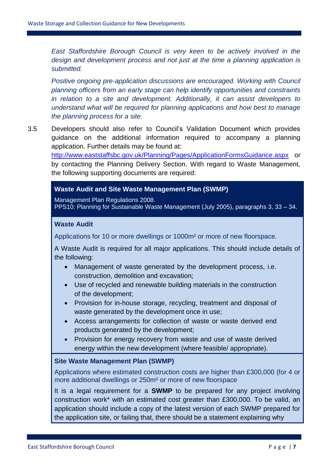*East Staffordshire Borough Council is very keen to be actively involved in the design and development process and not just at the time a planning application is submitted.*

*Positive ongoing pre-application discussions are encouraged. Working with Council planning officers from an early stage can help identify opportunities and constraints in relation to a site and development. Additionally, it can assist developers to understand what will be required for planning applications and how best to manage the planning process for a site.*

3.5 Developers should also refer to Council's Validation Document which provides guidance on the additional information required to accompany a planning application. Further details may be found at: <http://www.eaststaffsbc.gov.uk/Planning/Pages/ApplicationFormsGuidance.aspx> or by contacting the Planning Delivery Section. With regard to Waste Management, the following supporting documents are required:

### **Waste Audit and Site Waste Management Plan (SWMP)**

Management Plan Regulations 2008. PPS10: Planning for Sustainable Waste Management (July 2005), paragraphs 3, 33 – 34.

#### **Waste Audit**

Applications for 10 or more dwellings or 1000m² or more of new floorspace.

A Waste Audit is required for all major applications. This should include details of the following:

- Management of waste generated by the development process, i.e. construction, demolition and excavation;
- Use of recycled and renewable building materials in the construction of the development;
- Provision for in-house storage, recycling, treatment and disposal of waste generated by the development once in use;
- Access arrangements for collection of waste or waste derived end products generated by the development;
- Provision for energy recovery from waste and use of waste derived energy within the new development (where feasible/ appropriate).

#### **Site Waste Management Plan (SWMP)**

Applications where estimated construction costs are higher than £300,000 (for 4 or more additional dwellings or 250m² or more of new floorspace

It is a legal requirement for a **SWMP** to be prepared for any project involving construction work\* with an estimated cost greater than £300,000. To be valid, an application should include a copy of the latest version of each SWMP prepared for the application site, or failing that, there should be a statement explaining why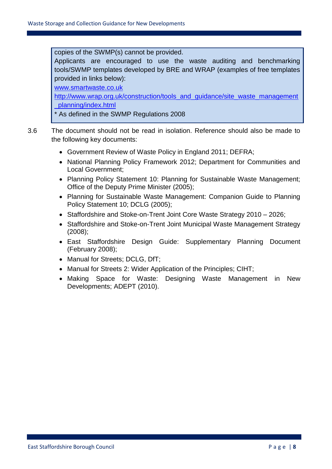copies of the SWMP(s) cannot be provided.

Applicants are encouraged to use the waste auditing and benchmarking tools/SWMP templates developed by BRE and WRAP (examples of free templates provided in links below):

[www.smartwaste.co.uk](http://www.smartwaste.co.uk/) 

[http://www.wrap.org.uk/construction/tools\\_and\\_guidance/site\\_waste\\_management](http://www.wrap.org.uk/construction/tools_and_guidance/site_waste_management_planning/index.html) [\\_planning/index.html](http://www.wrap.org.uk/construction/tools_and_guidance/site_waste_management_planning/index.html) 

\* As defined in the SWMP Regulations 2008

- 3.6 The document should not be read in isolation. Reference should also be made to the following key documents:
	- Government Review of Waste Policy in England 2011; DEFRA;
	- National Planning Policy Framework 2012; Department for Communities and Local Government;
	- Planning Policy Statement 10: Planning for Sustainable Waste Management; Office of the Deputy Prime Minister (2005);
	- Planning for Sustainable Waste Management: Companion Guide to Planning Policy Statement 10; DCLG (2005);
	- Staffordshire and Stoke-on-Trent Joint Core Waste Strategy 2010 2026;
	- Staffordshire and Stoke-on-Trent Joint Municipal Waste Management Strategy (2008);
	- East Staffordshire Design Guide: Supplementary Planning Document (February 2008);
	- Manual for Streets; DCLG, DfT;
	- Manual for Streets 2: Wider Application of the Principles; CIHT;
	- Making Space for Waste: Designing Waste Management in New Developments; ADEPT (2010).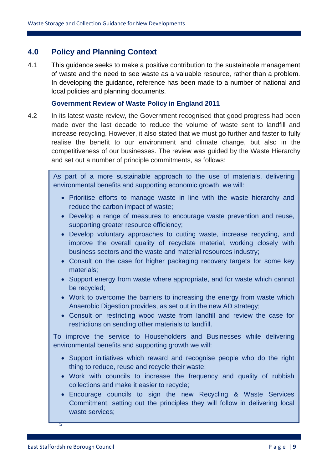### **4.0 Policy and Planning Context**

4.1 This guidance seeks to make a positive contribution to the sustainable management of waste and the need to see waste as a valuable resource, rather than a problem. In developing the guidance, reference has been made to a number of national and local policies and planning documents.

### **Government Review of Waste Policy in England 2011**

4.2 In its latest waste review, the Government recognised that good progress had been made over the last decade to reduce the volume of waste sent to landfill and increase recycling. However, it also stated that we must go further and faster to fully realise the benefit to our environment and climate change, but also in the competitiveness of our businesses. The review was guided by the Waste Hierarchy and set out a number of principle commitments, as follows:

environmental benefits and supporting economic growth, we will: As part of a more sustainable approach to the use of materials, delivering

- Prioritise efforts to manage waste in line with the waste hierarchy and reduce the carbon impact of waste;
- e Develop a range of measures to encourage waste prevention and reuse, supporting greater resource efficiency;
- Develop voluntary approaches to cutting waste, increase recycling, and improve the overall quality of recyclate material, working closely with business sectors and the waste and material resources industry;
- Consult on the case for higher packaging recovery targets for some key materials;
- Support energy from waste where appropriate, and for waste which cannot be recycled;
- Work to overcome the barriers to increasing the energy from waste which Anaerobic Digestion provides, as set out in the new AD strategy;
- Consult on restricting wood waste from landfill and review the case for restrictions on sending other materials to landfill.

To improve the service to Householders and Businesses while delivering environmental benefits and supporting growth we will:

- Support initiatives which reward and recognise people who do the right thing to reduce, reuse and recycle their waste;
- Work with councils to increase the frequency and quality of rubbish collections and make it easier to recycle;
- b Encourage councils to sign the new Recycling & Waste Services Commitment, setting out the principles they will follow in delivering local waste services;

s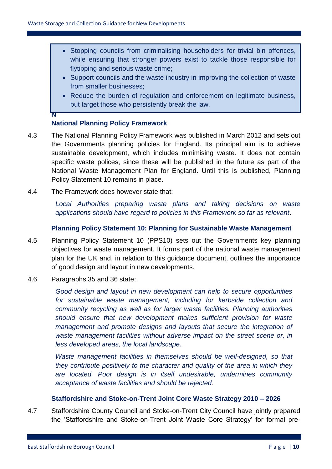- Stopping councils from criminalising householders for trivial bin offences, while ensuring that stronger powers exist to tackle those responsible for flytipping and serious waste crime;
- Support councils and the waste industry in improving the collection of waste from smaller businesses;
- Reduce the burden of regulation and enforcement on legitimate business, but target those who persistently break the law.

### **National Planning Policy Framework**

**N**

- 4.3 The National Planning Policy Framework was published in March 2012 and sets out the Governments planning policies for England. Its principal aim is to achieve sustainable development, which includes minimising waste. It does not contain specific waste polices, since these will be published in the future as part of the National Waste Management Plan for England. Until this is published, Planning Policy Statement 10 remains in place.
- 4.4 The Framework does however state that:

*Local Authorities preparing waste plans and taking decisions on waste applications should have regard to policies in this Framework so far as relevant*.

### **Planning Policy Statement 10: Planning for Sustainable Waste Management**

- 4.5 Planning Policy Statement 10 (PPS10) sets out the Governments key planning objectives for waste management. It forms part of the national waste management plan for the UK and, in relation to this guidance document, outlines the importance of good design and layout in new developments.
- 4.6 Paragraphs 35 and 36 state:

*Good design and layout in new development can help to secure opportunities for sustainable waste management, including for kerbside collection and community recycling as well as for larger waste facilities. Planning authorities should ensure that new development makes sufficient provision for waste management and promote designs and layouts that secure the integration of waste management facilities without adverse impact on the street scene or, in less developed areas, the local landscape.*

*Waste management facilities in themselves should be well-designed, so that they contribute positively to the character and quality of the area in which they are located. Poor design is in itself undesirable, undermines community acceptance of waste facilities and should be rejected.*

### **Staffordshire and Stoke-on-Trent Joint Core Waste Strategy 2010 – 2026**

4.7 Staffordshire County Council and Stoke-on-Trent City Council have jointly prepared the 'Staffordshire and Stoke-on-Trent Joint Waste Core Strategy' for formal pre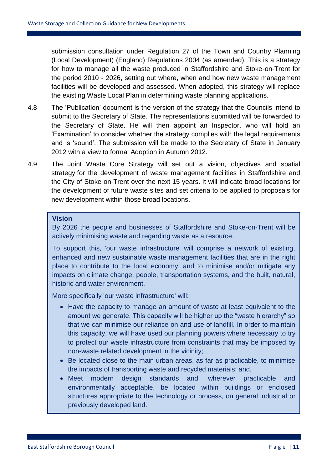submission consultation under Regulation 27 of the Town and Country Planning (Local Development) (England) Regulations 2004 (as amended). This is a strategy for how to manage all the waste produced in Staffordshire and Stoke-on-Trent for the period 2010 - 2026, setting out where, when and how new waste management facilities will be developed and assessed. When adopted, this strategy will replace the existing Waste Local Plan in determining waste planning applications.

- 4.8 The 'Publication' document is the version of the strategy that the Councils intend to submit to the Secretary of State. The representations submitted will be forwarded to the Secretary of State. He will then appoint an Inspector, who will hold an 'Examination' to consider whether the strategy complies with the legal requirements and is 'sound'. The submission will be made to the Secretary of State in January 2012 with a view to formal Adoption in Autumn 2012.
- 4.9 The Joint Waste Core Strategy will set out a vision, objectives and spatial strategy for the development of waste management facilities in Staffordshire and the City of Stoke-on-Trent over the next 15 years. It will indicate broad locations for the development of future waste sites and set criteria to be applied to proposals for new development within those broad locations.

### **Vision**

By 2026 the people and businesses of Staffordshire and Stoke-on-Trent will be actively minimising waste and regarding waste as a resource.

To support this, 'our waste infrastructure' will comprise a network of existing, enhanced and new sustainable waste management facilities that are in the right place to contribute to the local economy, and to minimise and/or mitigate any impacts on climate change, people, transportation systems, and the built, natural, historic and water environment.

More specifically 'our waste infrastructure' will:

- Have the capacity to manage an amount of waste at least equivalent to the amount we generate. This capacity will be higher up the "waste hierarchy" so that we can minimise our reliance on and use of landfill. In order to maintain this capacity, we will have used our planning powers where necessary to try to protect our waste infrastructure from constraints that may be imposed by non-waste related development in the vicinity;
- Be located close to the main urban areas, as far as practicable, to minimise the impacts of transporting waste and recycled materials; and,
- Meet modern design standards and, wherever practicable and environmentally acceptable, be located within buildings or enclosed structures appropriate to the technology or process, on general industrial or previously developed land.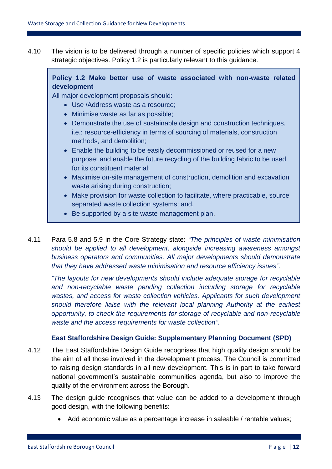4.10 The vision is to be delivered through a number of specific policies which support 4 strategic objectives. Policy 1.2 is particularly relevant to this guidance.

### **Policy 1.2 Make better use of waste associated with non-waste related development**

All major development proposals should:

- Use /Address waste as a resource;
- Minimise waste as far as possible;
- Demonstrate the use of sustainable design and construction techniques, i.e.: resource-efficiency in terms of sourcing of materials, construction methods, and demolition;
- Enable the building to be easily decommissioned or reused for a new purpose; and enable the future recycling of the building fabric to be used for its constituent material;
- Maximise on-site management of construction, demolition and excavation waste arising during construction;
- Make provision for waste collection to facilitate, where practicable, source separated waste collection systems; and,
- Be supported by a site waste management plan.
- 4.11 Para 5.8 and 5.9 in the Core Strategy state: *"The principles of waste minimisation should be applied to all development, alongside increasing awareness amongst business operators and communities. All major developments should demonstrate that they have addressed waste minimisation and resource efficiency issues".*

*"The layouts for new developments should include adequate storage for recyclable and non-recyclable waste pending collection including storage for recyclable wastes, and access for waste collection vehicles. Applicants for such development should therefore liaise with the relevant local planning Authority at the earliest opportunity, to check the requirements for storage of recyclable and non-recyclable waste and the access requirements for waste collection".*

### **East Staffordshire Design Guide: Supplementary Planning Document (SPD)**

- 4.12 The East Staffordshire Design Guide recognises that high quality design should be the aim of all those involved in the development process. The Council is committed to raising design standards in all new development. This is in part to take forward national government's sustainable communities agenda, but also to improve the quality of the environment across the Borough.
- 4.13 The design guide recognises that value can be added to a development through good design, with the following benefits:
	- Add economic value as a percentage increase in saleable / rentable values;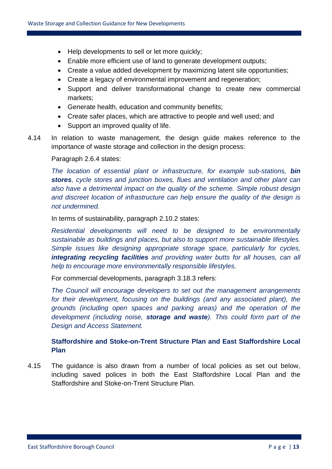- Help developments to sell or let more quickly;
- Enable more efficient use of land to generate development outputs;
- Create a value added development by maximizing latent site opportunities;
- Create a legacy of environmental improvement and regeneration;
- Support and deliver transformational change to create new commercial markets;
- Generate health, education and community benefits;
- Create safer places, which are attractive to people and well used; and
- Support an improved quality of life.
- 4.14 In relation to waste management, the design guide makes reference to the importance of waste storage and collection in the design process:

#### Paragraph 2.6.4 states:

*The location of essential plant or infrastructure, for example sub-stations, bin stores, cycle stores and junction boxes, flues and ventilation and other plant can also have a detrimental impact on the quality of the scheme. Simple robust design and discreet location of infrastructure can help ensure the quality of the design is not undermined.*

In terms of sustainability, paragraph 2.10.2 states:

*Residential developments will need to be designed to be environmentally sustainable as buildings and places, but also to support more sustainable lifestyles. Simple issues like designing appropriate storage space, particularly for cycles, integrating recycling facilities and providing water butts for all houses, can all help to encourage more environmentally responsible lifestyles.*

For commercial developments, paragraph 3.18.3 refers:

*The Council will encourage developers to set out the management arrangements for their development, focusing on the buildings (and any associated plant), the grounds (including open spaces and parking areas) and the operation of the development (including noise, storage and waste). This could form part of the Design and Access Statement.*

### **Staffordshire and Stoke-on-Trent Structure Plan and East Staffordshire Local Plan**

4.15 The guidance is also drawn from a number of local policies as set out below, including saved polices in both the East Staffordshire Local Plan and the Staffordshire and Stoke-on-Trent Structure Plan.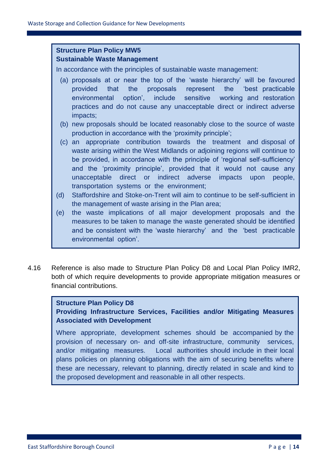### **Structure Plan Policy MW5 Sustainable Waste Management**

In accordance with the principles of sustainable waste management:

- (a) proposals at or near the top of the 'waste hierarchy' will be favoured provided that the proposals represent the 'best practicable environmental option', include sensitive working and restoration practices and do not cause any unacceptable direct or indirect adverse impacts;
- (b) new proposals should be located reasonably close to the source of waste production in accordance with the 'proximity principle';
- (c) an appropriate contribution towards the treatment and disposal of waste arising within the West Midlands or adjoining regions will continue to be provided, in accordance with the principle of 'regional self-sufficiency' and the 'proximity principle', provided that it would not cause any unacceptable direct or indirect adverse impacts upon people, transportation systems or the environment;
- (d) Staffordshire and Stoke-on-Trent will aim to continue to be self-sufficient in the management of waste arising in the Plan area;
- (e) the waste implications of all major development proposals and the measures to be taken to manage the waste generated should be identified and be consistent with the 'waste hierarchy' and the 'best practicable environmental option'.
- 4.16 Reference is also made to Structure Plan Policy D8 and Local Plan Policy IMR2, both of which require developments to provide appropriate mitigation measures or financial contributions.

### **Structure Plan Policy D8**

**Providing Infrastructure Services, Facilities and/or Mitigating Measures Associated with Development**

Where appropriate, development schemes should be accompanied by the provision of necessary on- and off-site infrastructure, community services, and/or mitigating measures. Local authorities should include in their local plans policies on planning obligations with the aim of securing benefits where these are necessary, relevant to planning, directly related in scale and kind to the proposed development and reasonable in all other respects.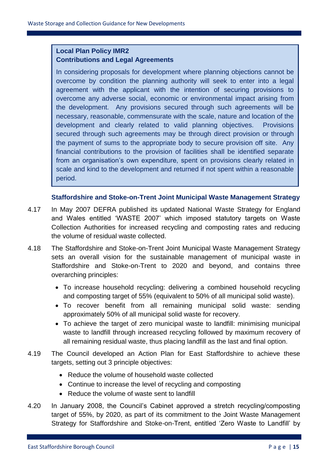### **Local Plan Policy IMR2 Contributions and Legal Agreements**

In considering proposals for development where planning objections cannot be overcome by condition the planning authority will seek to enter into a legal agreement with the applicant with the intention of securing provisions to overcome any adverse social, economic or environmental impact arising from the development. Any provisions secured through such agreements will be necessary, reasonable, commensurate with the scale, nature and location of the development and clearly related to valid planning objectives. Provisions secured through such agreements may be through direct provision or through the payment of sums to the appropriate body to secure provision off site. Any financial contributions to the provision of facilities shall be identified separate from an organisation's own expenditure, spent on provisions clearly related in scale and kind to the development and returned if not spent within a reasonable period.

### **Staffordshire and Stoke-on-Trent Joint Municipal Waste Management Strategy**

- 4.17 In May 2007 DEFRA published its updated National Waste Strategy for England and Wales entitled 'WASTE 2007' which imposed statutory targets on Waste Collection Authorities for increased recycling and composting rates and reducing the volume of residual waste collected.
- 4.18 The Staffordshire and Stoke-on-Trent Joint Municipal Waste Management Strategy sets an overall vision for the sustainable management of municipal waste in Staffordshire and Stoke-on-Trent to 2020 and beyond, and contains three overarching principles:
	- To increase household recycling: delivering a combined household recycling and composting target of 55% (equivalent to 50% of all municipal solid waste).
	- To recover benefit from all remaining municipal solid waste: sending approximately 50% of all municipal solid waste for recovery.
	- To achieve the target of zero municipal waste to landfill: minimising municipal waste to landfill through increased recycling followed by maximum recovery of all remaining residual waste, thus placing landfill as the last and final option.
- 4.19 The Council developed an Action Plan for East Staffordshire to achieve these targets, setting out 3 principle objectives:
	- Reduce the volume of household waste collected
	- Continue to increase the level of recycling and composting
	- Reduce the volume of waste sent to landfill
- 4.20 In January 2008, the Council's Cabinet approved a stretch recycling/composting target of 55%, by 2020, as part of its commitment to the Joint Waste Management Strategy for Staffordshire and Stoke-on-Trent, entitled 'Zero Waste to Landfill' by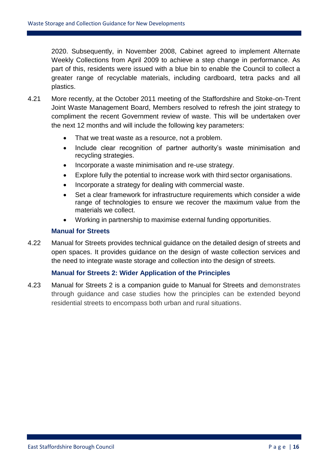2020. Subsequently, in November 2008, Cabinet agreed to implement Alternate Weekly Collections from April 2009 to achieve a step change in performance. As part of this, residents were issued with a blue bin to enable the Council to collect a greater range of recyclable materials, including cardboard, tetra packs and all plastics.

- 4.21 More recently, at the October 2011 meeting of the Staffordshire and Stoke-on-Trent Joint Waste Management Board, Members resolved to refresh the joint strategy to compliment the recent Government review of waste. This will be undertaken over the next 12 months and will include the following key parameters:
	- That we treat waste as a resource, not a problem.
	- Include clear recognition of partner authority's waste minimisation and recycling strategies.
	- Incorporate a waste minimisation and re-use strategy.
	- Explore fully the potential to increase work with third sector organisations.
	- Incorporate a strategy for dealing with commercial waste.
	- Set a clear framework for infrastructure requirements which consider a wide range of technologies to ensure we recover the maximum value from the materials we collect.
	- Working in partnership to maximise external funding opportunities.

### **Manual for Streets**

4.22 Manual for Streets provides technical guidance on the detailed design of streets and open spaces. It provides guidance on the design of waste collection services and the need to integrate waste storage and collection into the design of streets.

### **Manual for Streets 2: Wider Application of the Principles**

4.23 Manual for Streets 2 is a companion guide to Manual for Streets and demonstrates through guidance and case studies how the principles can be extended beyond residential streets to encompass both urban and rural situations.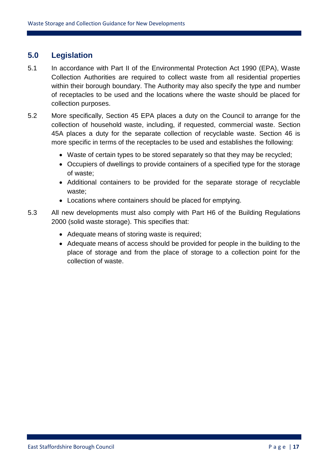### **5.0 Legislation**

- 5.1 In accordance with Part II of the Environmental Protection Act 1990 (EPA), Waste Collection Authorities are required to collect waste from all residential properties within their borough boundary. The Authority may also specify the type and number of receptacles to be used and the locations where the waste should be placed for collection purposes.
- 5.2 More specifically, Section 45 EPA places a duty on the Council to arrange for the collection of household waste, including, if requested, commercial waste. Section 45A places a duty for the separate collection of recyclable waste. Section 46 is more specific in terms of the receptacles to be used and establishes the following:
	- Waste of certain types to be stored separately so that they may be recycled;
	- Occupiers of dwellings to provide containers of a specified type for the storage of waste;
	- Additional containers to be provided for the separate storage of recyclable waste;
	- Locations where containers should be placed for emptying.
- 5.3 All new developments must also comply with Part H6 of the Building Regulations 2000 (solid waste storage). This specifies that:
	- Adequate means of storing waste is required;
	- Adequate means of access should be provided for people in the building to the place of storage and from the place of storage to a collection point for the collection of waste.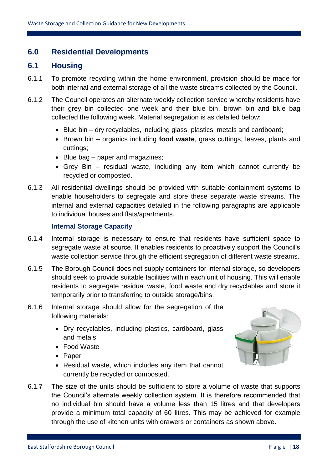### **6.0 Residential Developments**

### **6.1 Housing**

- 6.1.1 To promote recycling within the home environment, provision should be made for both internal and external storage of all the waste streams collected by the Council.
- 6.1.2 The Council operates an alternate weekly collection service whereby residents have their grey bin collected one week and their blue bin, brown bin and blue bag collected the following week. Material segregation is as detailed below:
	- Blue bin dry recyclables, including glass, plastics, metals and cardboard;
	- Brown bin organics including **food waste**, grass cuttings, leaves, plants and cuttings;
	- Blue bag paper and magazines;
	- Grey Bin residual waste, including any item which cannot currently be recycled or composted.
- 6.1.3 All residential dwellings should be provided with suitable containment systems to enable householders to segregate and store these separate waste streams. The internal and external capacities detailed in the following paragraphs are applicable to individual houses and flats/apartments.

### **Internal Storage Capacity**

- 6.1.4 Internal storage is necessary to ensure that residents have sufficient space to segregate waste at source. It enables residents to proactively support the Council's waste collection service through the efficient segregation of different waste streams.
- 6.1.5 The Borough Council does not supply containers for internal storage, so developers should seek to provide suitable facilities within each unit of housing. This will enable residents to segregate residual waste, food waste and dry recyclables and store it temporarily prior to transferring to outside storage/bins.
- 6.1.6 Internal storage should allow for the segregation of the following materials:
	- Dry recyclables, including plastics, cardboard, glass and metals
	- Food Waste
	- Paper
	- Residual waste, which includes any item that cannot currently be recycled or composted.



6.1.7 The size of the units should be sufficient to store a volume of waste that supports the Council's alternate weekly collection system. It is therefore recommended that no individual bin should have a volume less than 15 litres and that developers provide a minimum total capacity of 60 litres. This may be achieved for example through the use of kitchen units with drawers or containers as shown above.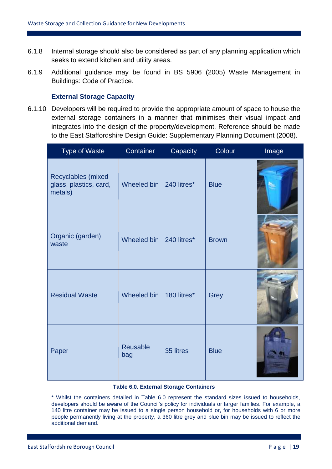- 6.1.8 Internal storage should also be considered as part of any planning application which seeks to extend kitchen and utility areas.
- 6.1.9 Additional guidance may be found in BS 5906 (2005) Waste Management in Buildings: Code of Practice.

### **External Storage Capacity**

6.1.10 Developers will be required to provide the appropriate amount of space to house the external storage containers in a manner that minimises their visual impact and integrates into the design of the property/development. Reference should be made to the East Staffordshire Design Guide: Supplementary Planning Document (2008).

| <b>Type of Waste</b>                                    | Container              | Capacity    | Colour       | Image |
|---------------------------------------------------------|------------------------|-------------|--------------|-------|
| Recyclables (mixed<br>glass, plastics, card,<br>metals) | Wheeled bin            | 240 litres* | <b>Blue</b>  |       |
| Organic (garden)<br>waste                               | Wheeled bin            | 240 litres* | <b>Brown</b> |       |
| <b>Residual Waste</b>                                   | Wheeled bin            | 180 litres* | Grey         |       |
| Paper                                                   | <b>Reusable</b><br>bag | 35 litres   | <b>Blue</b>  |       |

#### **Table 6.0. External Storage Containers**

\* Whilst the containers detailed in Table 6.0 represent the standard sizes issued to households, developers should be aware of the Council's policy for individuals or larger families. For example, a 140 litre container may be issued to a single person household or, for households with 6 or more people permanently living at the property, a 360 litre grey and blue bin may be issued to reflect the additional demand.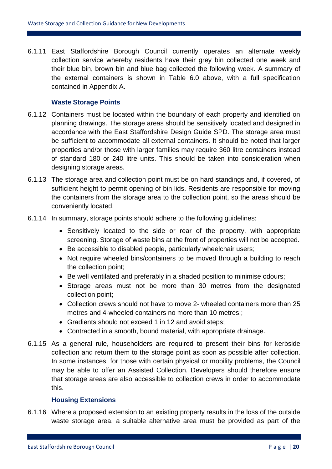6.1.11 East Staffordshire Borough Council currently operates an alternate weekly collection service whereby residents have their grey bin collected one week and their blue bin, brown bin and blue bag collected the following week. A summary of the external containers is shown in Table 6.0 above, with a full specification contained in Appendix A.

### **Waste Storage Points**

- 6.1.12 Containers must be located within the boundary of each property and identified on planning drawings. The storage areas should be sensitively located and designed in accordance with the East Staffordshire Design Guide SPD. The storage area must be sufficient to accommodate all external containers. It should be noted that larger properties and/or those with larger families may require 360 litre containers instead of standard 180 or 240 litre units. This should be taken into consideration when designing storage areas.
- 6.1.13 The storage area and collection point must be on hard standings and, if covered, of sufficient height to permit opening of bin lids. Residents are responsible for moving the containers from the storage area to the collection point, so the areas should be conveniently located.
- 6.1.14 In summary, storage points should adhere to the following guidelines:
	- Sensitively located to the side or rear of the property, with appropriate screening. Storage of waste bins at the front of properties will not be accepted.
	- Be accessible to disabled people, particularly wheelchair users;
	- Not require wheeled bins/containers to be moved through a building to reach the collection point;
	- Be well ventilated and preferably in a shaded position to minimise odours;
	- Storage areas must not be more than 30 metres from the designated collection point;
	- Collection crews should not have to move 2- wheeled containers more than 25 metres and 4-wheeled containers no more than 10 metres.;
	- Gradients should not exceed 1 in 12 and avoid steps;
	- Contracted in a smooth, bound material, with appropriate drainage.
- 6.1.15 As a general rule, householders are required to present their bins for kerbside collection and return them to the storage point as soon as possible after collection. In some instances, for those with certain physical or mobility problems, the Council may be able to offer an Assisted Collection. Developers should therefore ensure that storage areas are also accessible to collection crews in order to accommodate this.

#### **Housing Extensions**

6.1.16 Where a proposed extension to an existing property results in the loss of the outside waste storage area, a suitable alternative area must be provided as part of the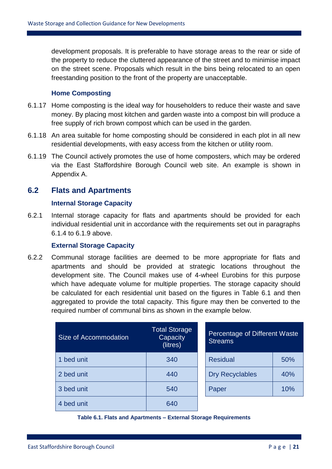development proposals. It is preferable to have storage areas to the rear or side of the property to reduce the cluttered appearance of the street and to minimise impact on the street scene. Proposals which result in the bins being relocated to an open freestanding position to the front of the property are unacceptable.

### **Home Composting**

- 6.1.17 Home composting is the ideal way for householders to reduce their waste and save money. By placing most kitchen and garden waste into a compost bin will produce a free supply of rich brown compost which can be used in the garden.
- 6.1.18 An area suitable for home composting should be considered in each plot in all new residential developments, with easy access from the kitchen or utility room.
- 6.1.19 The Council actively promotes the use of home composters, which may be ordered via the East Staffordshire Borough Council web site. An example is shown in Appendix A.

### **6.2 Flats and Apartments**

### **Internal Storage Capacity**

6.2.1 Internal storage capacity for flats and apartments should be provided for each individual residential unit in accordance with the requirements set out in paragraphs 6.1.4 to 6.1.9 above.

#### **External Storage Capacity**

6.2.2 Communal storage facilities are deemed to be more appropriate for flats and apartments and should be provided at strategic locations throughout the development site. The Council makes use of 4-wheel Eurobins for this purpose which have adequate volume for multiple properties. The storage capacity should be calculated for each residential unit based on the figures in Table 6.1 and then aggregated to provide the total capacity. This figure may then be converted to the required number of communal bins as shown in the example below.

| Size of Accommodation | <b>Total Storage</b><br>Capacity<br>(litres) | Percentage of Different Waste<br><b>Streams</b> |     |
|-----------------------|----------------------------------------------|-------------------------------------------------|-----|
| 1 bed unit            | 340                                          | <b>Residual</b>                                 | 50% |
| 2 bed unit            | 440                                          | <b>Dry Recyclables</b>                          | 40% |
| 3 bed unit            | 540                                          | Paper                                           | 10% |
| 4 bed unit            | 640                                          |                                                 |     |

#### **Table 6.1. Flats and Apartments – External Storage Requirements**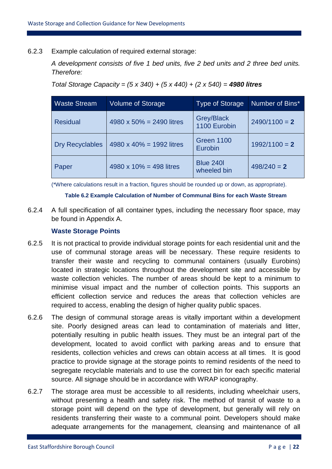### 6.2.3 Example calculation of required external storage:

*A development consists of five 1 bed units, five 2 bed units and 2 three bed units. Therefore:*

*Total Storage Capacity = (5 x 340) + (5 x 440) + (2 x 540) = 4980 litres*

| <b>Waste Stream</b>    | <b>Volume of Storage</b> | <b>Type of Storage</b>          | Number of Bins* |
|------------------------|--------------------------|---------------------------------|-----------------|
| <b>Residual</b>        | 4980 x 50% = 2490 litres | Grey/Black<br>1100 Eurobin      | $2490/1100 = 2$ |
| <b>Dry Recyclables</b> | 4980 x 40% = 1992 litres | <b>Green 1100</b><br>Eurobin    | $1992/1100 = 2$ |
| Paper                  | 4980 x 10% = 498 litres  | <b>Blue 240I</b><br>wheeled bin | $498/240 = 2$   |

(\*Where calculations result in a fraction, figures should be rounded up or down, as appropriate).

#### **Table 6.2 Example Calculation of Number of Communal Bins for each Waste Stream**

6.2.4 A full specification of all container types, including the necessary floor space, may be found in Appendix A.

### **Waste Storage Points**

- 6.2.5 It is not practical to provide individual storage points for each residential unit and the use of communal storage areas will be necessary. These require residents to transfer their waste and recycling to communal containers (usually Eurobins) located in strategic locations throughout the development site and accessible by waste collection vehicles. The number of areas should be kept to a minimum to minimise visual impact and the number of collection points. This supports an efficient collection service and reduces the areas that collection vehicles are required to access, enabling the design of higher quality public spaces.
- 6.2.6 The design of communal storage areas is vitally important within a development site. Poorly designed areas can lead to contamination of materials and litter, potentially resulting in public health issues. They must be an integral part of the development, located to avoid conflict with parking areas and to ensure that residents, collection vehicles and crews can obtain access at all times. It is good practice to provide signage at the storage points to remind residents of the need to segregate recyclable materials and to use the correct bin for each specific material source. All signage should be in accordance with WRAP iconography.
- 6.2.7 The storage area must be accessible to all residents, including wheelchair users, without presenting a health and safety risk. The method of transit of waste to a storage point will depend on the type of development, but generally will rely on residents transferring their waste to a communal point. Developers should make adequate arrangements for the management, cleansing and maintenance of all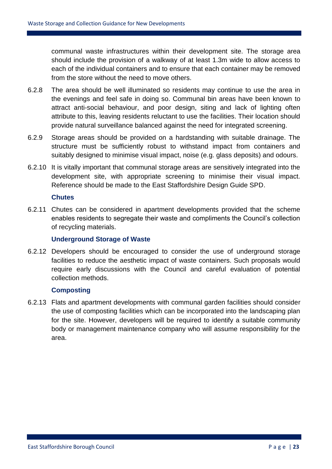communal waste infrastructures within their development site. The storage area should include the provision of a walkway of at least 1.3m wide to allow access to each of the individual containers and to ensure that each container may be removed from the store without the need to move others.

- 6.2.8 The area should be well illuminated so residents may continue to use the area in the evenings and feel safe in doing so. Communal bin areas have been known to attract anti-social behaviour, and poor design, siting and lack of lighting often attribute to this, leaving residents reluctant to use the facilities. Their location should provide natural surveillance balanced against the need for integrated screening.
- 6.2.9 Storage areas should be provided on a hardstanding with suitable drainage. The structure must be sufficiently robust to withstand impact from containers and suitably designed to minimise visual impact, noise (e.g. glass deposits) and odours.
- 6.2.10 It is vitally important that communal storage areas are sensitively integrated into the development site, with appropriate screening to minimise their visual impact. Reference should be made to the East Staffordshire Design Guide SPD.

#### **Chutes**

6.2.11 Chutes can be considered in apartment developments provided that the scheme enables residents to segregate their waste and compliments the Council's collection of recycling materials.

#### **Underground Storage of Waste**

6.2.12 Developers should be encouraged to consider the use of underground storage facilities to reduce the aesthetic impact of waste containers. Such proposals would require early discussions with the Council and careful evaluation of potential collection methods.

#### **Composting**

6.2.13 Flats and apartment developments with communal garden facilities should consider the use of composting facilities which can be incorporated into the landscaping plan for the site. However, developers will be required to identify a suitable community body or management maintenance company who will assume responsibility for the area.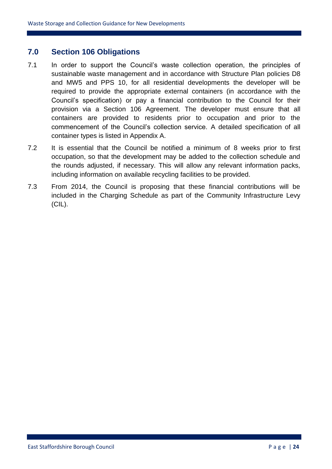### **7.0 Section 106 Obligations**

- 7.1 In order to support the Council's waste collection operation, the principles of sustainable waste management and in accordance with Structure Plan policies D8 and MW5 and PPS 10, for all residential developments the developer will be required to provide the appropriate external containers (in accordance with the Council's specification) or pay a financial contribution to the Council for their provision via a Section 106 Agreement. The developer must ensure that all containers are provided to residents prior to occupation and prior to the commencement of the Council's collection service. A detailed specification of all container types is listed in Appendix A.
- 7.2 It is essential that the Council be notified a minimum of 8 weeks prior to first occupation, so that the development may be added to the collection schedule and the rounds adjusted, if necessary. This will allow any relevant information packs, including information on available recycling facilities to be provided.
- 7.3 From 2014, the Council is proposing that these financial contributions will be included in the Charging Schedule as part of the Community Infrastructure Levy (CIL).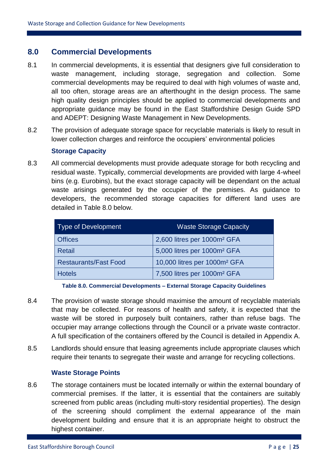### **8.0 Commercial Developments**

- 8.1 In commercial developments, it is essential that designers give full consideration to waste management, including storage, segregation and collection. Some commercial developments may be required to deal with high volumes of waste and, all too often, storage areas are an afterthought in the design process. The same high quality design principles should be applied to commercial developments and appropriate guidance may be found in the East Staffordshire Design Guide SPD and ADEPT: Designing Waste Management in New Developments.
- 8.2 The provision of adequate storage space for recyclable materials is likely to result in lower collection charges and reinforce the occupiers' environmental policies

### **Storage Capacity**

8.3 All commercial developments must provide adequate storage for both recycling and residual waste. Typically, commercial developments are provided with large 4-wheel bins (e.g. Eurobins), but the exact storage capacity will be dependant on the actual waste arisings generated by the occupier of the premises. As guidance to developers, the recommended storage capacities for different land uses are detailed in Table 8.0 below.

| Type of Development          | <b>Waste Storage Capacity</b>            |
|------------------------------|------------------------------------------|
| <b>Offices</b>               | 2,600 litres per 1000m <sup>2</sup> GFA  |
| Retail                       | 5,000 litres per 1000m <sup>2</sup> GFA  |
| <b>Restaurants/Fast Food</b> | 10,000 litres per 1000m <sup>2</sup> GFA |
| <b>Hotels</b>                | 7,500 litres per 1000m <sup>2</sup> GFA  |

**Table 8.0. Commercial Developments – External Storage Capacity Guidelines**

- 8.4 The provision of waste storage should maximise the amount of recyclable materials that may be collected. For reasons of health and safety, it is expected that the waste will be stored in purposely built containers, rather than refuse bags. The occupier may arrange collections through the Council or a private waste contractor. A full specification of the containers offered by the Council is detailed in Appendix A.
- 8.5 Landlords should ensure that leasing agreements include appropriate clauses which require their tenants to segregate their waste and arrange for recycling collections.

### **Waste Storage Points**

8.6 The storage containers must be located internally or within the external boundary of commercial premises. If the latter, it is essential that the containers are suitably screened from public areas (including multi-story residential properties). The design of the screening should compliment the external appearance of the main development building and ensure that it is an appropriate height to obstruct the highest container.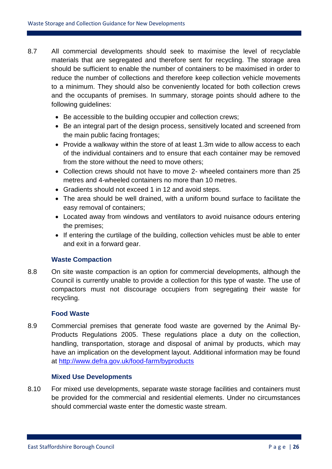- 8.7 All commercial developments should seek to maximise the level of recyclable materials that are segregated and therefore sent for recycling. The storage area should be sufficient to enable the number of containers to be maximised in order to reduce the number of collections and therefore keep collection vehicle movements to a minimum. They should also be conveniently located for both collection crews and the occupants of premises. In summary, storage points should adhere to the following guidelines:
	- Be accessible to the building occupier and collection crews;
	- Be an integral part of the design process, sensitively located and screened from the main public facing frontages;
	- Provide a walkway within the store of at least 1.3m wide to allow access to each of the individual containers and to ensure that each container may be removed from the store without the need to move others;
	- Collection crews should not have to move 2- wheeled containers more than 25 metres and 4-wheeled containers no more than 10 metres.
	- Gradients should not exceed 1 in 12 and avoid steps.
	- The area should be well drained, with a uniform bound surface to facilitate the easy removal of containers;
	- Located away from windows and ventilators to avoid nuisance odours entering the premises;
	- If entering the curtilage of the building, collection vehicles must be able to enter and exit in a forward gear.

### **Waste Compaction**

8.8 On site waste compaction is an option for commercial developments, although the Council is currently unable to provide a collection for this type of waste. The use of compactors must not discourage occupiers from segregating their waste for recycling.

### **Food Waste**

8.9 Commercial premises that generate food waste are governed by the Animal By-Products Regulations 2005. These regulations place a duty on the collection, handling, transportation, storage and disposal of animal by products, which may have an implication on the development layout. Additional information may be found at <http://www.defra.gov.uk/food-farm/byproducts>

### **Mixed Use Developments**

8.10 For mixed use developments, separate waste storage facilities and containers must be provided for the commercial and residential elements. Under no circumstances should commercial waste enter the domestic waste stream.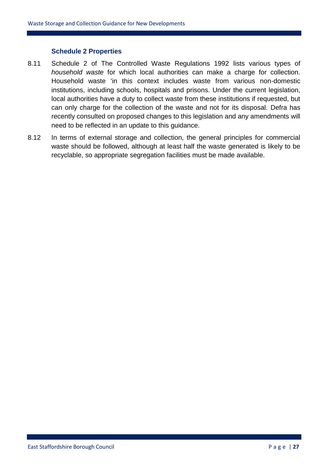### **Schedule 2 Properties**

- 8.11 Schedule 2 of The Controlled Waste Regulations 1992 lists various types of *household waste* for which local authorities can make a charge for collection. Household waste 'in this context includes waste from various non-domestic institutions, including schools, hospitals and prisons. Under the current legislation, local authorities have a duty to collect waste from these institutions if requested, but can only charge for the collection of the waste and not for its disposal. Defra has recently consulted on proposed changes to this legislation and any amendments will need to be reflected in an update to this guidance.
- 8.12 In terms of external storage and collection, the general principles for commercial waste should be followed, although at least half the waste generated is likely to be recyclable, so appropriate segregation facilities must be made available.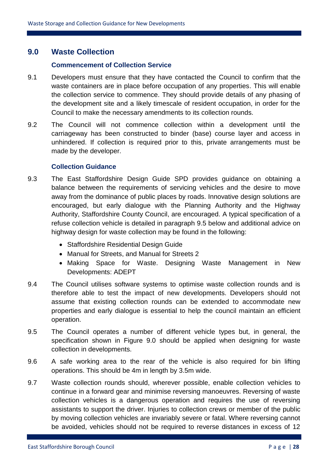### **9.0 Waste Collection**

#### **Commencement of Collection Service**

- 9.1 Developers must ensure that they have contacted the Council to confirm that the waste containers are in place before occupation of any properties. This will enable the collection service to commence. They should provide details of any phasing of the development site and a likely timescale of resident occupation, in order for the Council to make the necessary amendments to its collection rounds.
- 9.2 The Council will not commence collection within a development until the carriageway has been constructed to binder (base) course layer and access in unhindered. If collection is required prior to this, private arrangements must be made by the developer.

#### **Collection Guidance**

- 9.3 The East Staffordshire Design Guide SPD provides guidance on obtaining a balance between the requirements of servicing vehicles and the desire to move away from the dominance of public places by roads. Innovative design solutions are encouraged, but early dialogue with the Planning Authority and the Highway Authority, Staffordshire County Council, are encouraged. A typical specification of a refuse collection vehicle is detailed in paragraph 9.5 below and additional advice on highway design for waste collection may be found in the following:
	- Staffordshire Residential Design Guide
	- Manual for Streets, and Manual for Streets 2
	- Making Space for Waste. Designing Waste Management in New Developments: ADEPT
- 9.4 The Council utilises software systems to optimise waste collection rounds and is therefore able to test the impact of new developments. Developers should not assume that existing collection rounds can be extended to accommodate new properties and early dialogue is essential to help the council maintain an efficient operation.
- 9.5 The Council operates a number of different vehicle types but, in general, the specification shown in Figure 9.0 should be applied when designing for waste collection in developments.
- 9.6 A safe working area to the rear of the vehicle is also required for bin lifting operations. This should be 4m in length by 3.5m wide.
- 9.7 Waste collection rounds should, wherever possible, enable collection vehicles to continue in a forward gear and minimise reversing manoeuvres. Reversing of waste collection vehicles is a dangerous operation and requires the use of reversing assistants to support the driver. Injuries to collection crews or member of the public by moving collection vehicles are invariably severe or fatal. Where reversing cannot be avoided, vehicles should not be required to reverse distances in excess of 12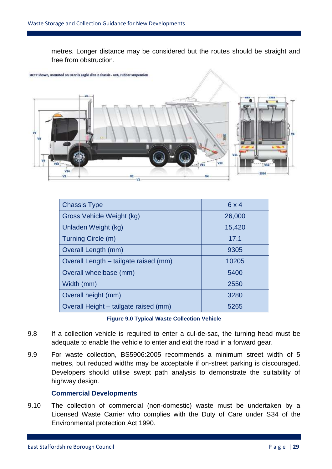metres. Longer distance may be considered but the routes should be straight and free from obstruction.



| <b>Chassis Type</b>                   | 6x4    |
|---------------------------------------|--------|
| Gross Vehicle Weight (kg)             | 26,000 |
| Unladen Weight (kg)                   | 15,420 |
| Turning Circle (m)                    | 17.1   |
| Overall Length (mm)                   | 9305   |
| Overall Length - tailgate raised (mm) | 10205  |
| Overall wheelbase (mm)                | 5400   |
| Width (mm)                            | 2550   |
| Overall height (mm)                   | 3280   |
| Overall Height - tailgate raised (mm) | 5265   |

#### **Figure 9.0 Typical Waste Collection Vehicle**

- 9.8 If a collection vehicle is required to enter a cul-de-sac, the turning head must be adequate to enable the vehicle to enter and exit the road in a forward gear.
- 9.9 For waste collection, BS5906:2005 recommends a minimum street width of 5 metres, but reduced widths may be acceptable if on-street parking is discouraged. Developers should utilise swept path analysis to demonstrate the suitability of highway design.

### **Commercial Developments**

9.10 The collection of commercial (non-domestic) waste must be undertaken by a Licensed Waste Carrier who complies with the Duty of Care under S34 of the Environmental protection Act 1990.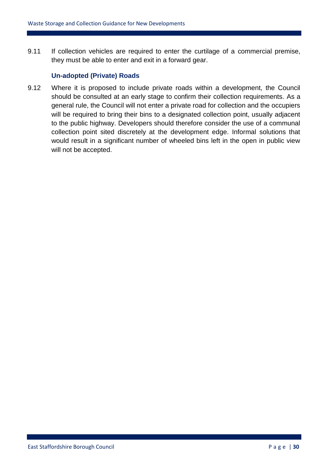9.11 If collection vehicles are required to enter the curtilage of a commercial premise, they must be able to enter and exit in a forward gear.

### **Un-adopted (Private) Roads**

9.12 Where it is proposed to include private roads within a development, the Council should be consulted at an early stage to confirm their collection requirements. As a general rule, the Council will not enter a private road for collection and the occupiers will be required to bring their bins to a designated collection point, usually adjacent to the public highway. Developers should therefore consider the use of a communal collection point sited discretely at the development edge. Informal solutions that would result in a significant number of wheeled bins left in the open in public view will not be accepted.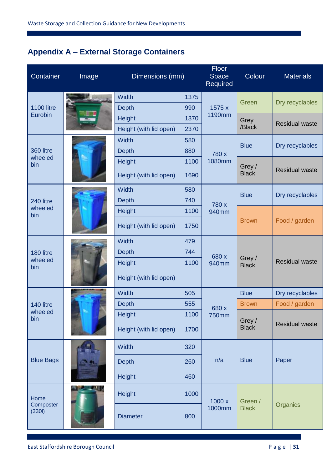# **Appendix A – External Storage Containers**

| Container                    | Image | Dimensions (mm)        |      | Floor<br>Space<br>Required | Colour                  | <b>Materials</b>      |
|------------------------------|-------|------------------------|------|----------------------------|-------------------------|-----------------------|
|                              |       | <b>Width</b>           | 1375 |                            | Green                   | Dry recyclables       |
| <b>1100 litre</b><br>Eurobin |       | <b>Depth</b>           | 990  | 1575 x<br>1190mm           |                         |                       |
|                              |       | <b>Height</b>          | 1370 |                            | Grey                    | <b>Residual waste</b> |
|                              |       | Height (with lid open) | 2370 |                            | /Black                  |                       |
|                              |       | <b>Width</b>           | 580  |                            | <b>Blue</b>             | Dry recyclables       |
| 360 litre<br>wheeled         |       | <b>Depth</b>           | 880  | 780 x                      |                         |                       |
| bin                          |       | <b>Height</b>          | 1100 | 1080mm                     | Grey /                  |                       |
|                              |       | Height (with lid open) | 1690 |                            | <b>Black</b>            | <b>Residual waste</b> |
|                              |       | <b>Width</b>           | 580  |                            | <b>Blue</b>             | Dry recyclables       |
| 240 litre                    |       | <b>Depth</b>           | 740  | 780 x                      |                         |                       |
| wheeled<br>bin               |       | Height                 | 1100 | 940mm                      | <b>Brown</b>            | Food / garden         |
|                              |       | Height (with lid open) | 1750 |                            |                         |                       |
|                              |       | <b>Width</b>           | 479  | 680 x<br>940mm             | Grey/<br><b>Black</b>   |                       |
| 180 litre                    |       | <b>Depth</b>           | 744  |                            |                         |                       |
| wheeled<br>bin               |       | <b>Height</b>          | 1100 |                            |                         | <b>Residual waste</b> |
|                              |       | Height (with lid open) |      |                            |                         |                       |
|                              |       | <b>Width</b>           | 505  |                            | <b>Blue</b>             | Dry recyclables       |
| 140 litre                    |       | <b>Depth</b>           | 555  | 680 x                      | <b>Brown</b>            | Food / garden         |
| wheeled<br>bin               |       | Height                 | 1100 | <b>750mm</b>               | Grey/<br><b>Black</b>   |                       |
|                              |       | Height (with lid open) | 1700 |                            |                         | <b>Residual waste</b> |
|                              |       | <b>Width</b>           | 320  |                            |                         |                       |
| <b>Blue Bags</b>             |       | <b>Depth</b>           | 260  | n/a                        | <b>Blue</b>             | Paper                 |
|                              |       | <b>Height</b>          | 460  |                            |                         |                       |
| Home                         |       | Height                 | 1000 | 1000x                      | Green /<br><b>Black</b> |                       |
| Composter<br>(3301)          |       | <b>Diameter</b>        | 800  | 1000mm                     |                         | Organics              |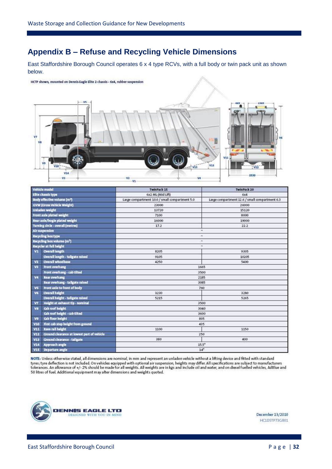### **Appendix B – Refuse and Recycling Vehicle Dimensions**

East Staffordshire Borough Council operates 6 x 4 type RCVs, with a full body or twin pack unit as shown below.

#### HCTP shown, mounted on Dennis Eagle Elite 2 chassis - 6x4, rubber suspension



|            | Vehicle model                              | <b>TwinPack 15</b>                             | <b>TwinPack 20</b>                             |  |  |
|------------|--------------------------------------------|------------------------------------------------|------------------------------------------------|--|--|
|            | Elite chassis type                         | 6x2 ML (Mid Lift)                              | 6x4                                            |  |  |
|            | Body effective volume (m <sup>3</sup> )    | Large compartment 10.0 / small compartment 5.0 | Large compartment 12.6 / small compartment 6.3 |  |  |
|            | <b>GVW (Gross Vehicle Weight)</b>          | 23000                                          | 26000                                          |  |  |
|            | <b>Unladen weight</b>                      | 13720                                          | 15120                                          |  |  |
|            | Front axle plated weight                   | 7100                                           | 8000                                           |  |  |
|            | Rear axle/bogle plated weight              | 16000                                          | 19000                                          |  |  |
|            | Turning circle - overall (metres)          | 17.2                                           | 22.2                                           |  |  |
|            | <b>Air suspension</b>                      |                                                | ×                                              |  |  |
|            | <b>Recycling box type</b>                  |                                                | où.                                            |  |  |
|            | Recycling box volume (m <sup>3</sup> )     |                                                | ×                                              |  |  |
|            | Recycler at full height                    |                                                | s.                                             |  |  |
| V1         | <b>Overall length</b>                      | 8205                                           | 9305                                           |  |  |
|            | Overall length - tailgate raised           | 9105                                           | 10205                                          |  |  |
| $\sqrt{2}$ | <b>Overall wheelbase</b>                   | 4250                                           | 5400                                           |  |  |
| V3         | Front overhang                             | 1665                                           |                                                |  |  |
|            | Front overhang - cab tilted                | 3500                                           |                                                |  |  |
| V4         | <b>Rear overhang</b>                       | 2185                                           |                                                |  |  |
|            | Rear overhang - tailgate raised            |                                                | 3085                                           |  |  |
| V5         | Front axle to front of body                |                                                | 760                                            |  |  |
| V6         | <b>Overall height</b>                      | 3230                                           | 3280                                           |  |  |
|            | Overall height - tailgate raised           | 5215                                           | 5265                                           |  |  |
| V7         | Height at exhaust tip - nominal            |                                                | 3500                                           |  |  |
| <b>V8</b>  | Cab roof height                            |                                                | 3040                                           |  |  |
|            | Cab roof height - cab tilted               |                                                | 3600                                           |  |  |
| V9         | Cab floor height                           |                                                | 805                                            |  |  |
| V10        | First cab step height from ground          | 435                                            |                                                |  |  |
| V11        | <b>Rave rail height</b>                    | 1100                                           | 1150                                           |  |  |
| V12        | Ground clearance at lowest part of vehicle | 250                                            |                                                |  |  |
| V13        | Ground clearance - tailgate                | 380                                            | 400                                            |  |  |
| V14        | <b>Approach angle</b>                      | $15.5^\circ$                                   |                                                |  |  |
| V15        | <b>Departure angle</b>                     |                                                | $14^\circ$                                     |  |  |

NOTE: Unless otherwise stated, all dimensions are nominal, in mm and represent an unladen vehicle without a lifting device and fitted with standard<br>tyres; tyre deflection is not included. On vehicles equipped with optional 50 litres of fuel. Additional equipment may alter dimensions and weights quoted.



December 13/2010 HC1DSTP73GB01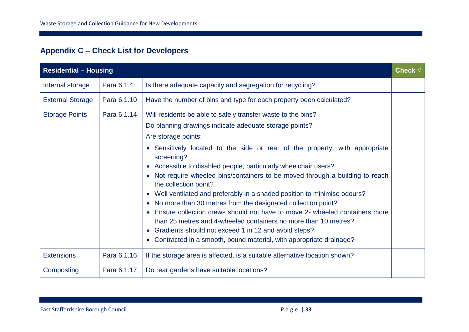# **Appendix C – Check List for Developers**

| <b>Residential - Housing</b> |             |                                                                                                                                                                                                                                                                                                                                                                                                                                                                                                                                                                                                                                                                                                                                                                                                                                                             | Check $\sqrt$ |
|------------------------------|-------------|-------------------------------------------------------------------------------------------------------------------------------------------------------------------------------------------------------------------------------------------------------------------------------------------------------------------------------------------------------------------------------------------------------------------------------------------------------------------------------------------------------------------------------------------------------------------------------------------------------------------------------------------------------------------------------------------------------------------------------------------------------------------------------------------------------------------------------------------------------------|---------------|
| Internal storage             | Para 6.1.4  | Is there adequate capacity and segregation for recycling?                                                                                                                                                                                                                                                                                                                                                                                                                                                                                                                                                                                                                                                                                                                                                                                                   |               |
| <b>External Storage</b>      | Para 6.1.10 | Have the number of bins and type for each property been calculated?                                                                                                                                                                                                                                                                                                                                                                                                                                                                                                                                                                                                                                                                                                                                                                                         |               |
| <b>Storage Points</b>        | Para 6.1.14 | Will residents be able to safely transfer waste to the bins?<br>Do planning drawings indicate adequate storage points?<br>Are storage points:<br>• Sensitively located to the side or rear of the property, with appropriate<br>screening?<br>• Accessible to disabled people, particularly wheelchair users?<br>• Not require wheeled bins/containers to be moved through a building to reach<br>the collection point?<br>• Well ventilated and preferably in a shaded position to minimise odours?<br>• No more than 30 metres from the designated collection point?<br>• Ensure collection crews should not have to move 2- wheeled containers more<br>than 25 metres and 4-wheeled containers no more than 10 metres?<br>• Gradients should not exceed 1 in 12 and avoid steps?<br>• Contracted in a smooth, bound material, with appropriate drainage? |               |
| <b>Extensions</b>            | Para 6.1.16 | If the storage area is affected, is a suitable alternative location shown?                                                                                                                                                                                                                                                                                                                                                                                                                                                                                                                                                                                                                                                                                                                                                                                  |               |
| Composting                   | Para 6.1.17 | Do rear gardens have suitable locations?                                                                                                                                                                                                                                                                                                                                                                                                                                                                                                                                                                                                                                                                                                                                                                                                                    |               |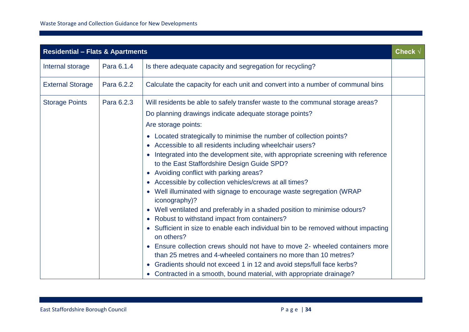| <b>Residential - Flats &amp; Apartments</b> |            |                                                                                                                                                                                                                                                                                                                                                                                                                                                                                                                                                                                                                                                                                                                                                                                                                                                                                                                                                                                                                                                                                                                                                                                     |  |
|---------------------------------------------|------------|-------------------------------------------------------------------------------------------------------------------------------------------------------------------------------------------------------------------------------------------------------------------------------------------------------------------------------------------------------------------------------------------------------------------------------------------------------------------------------------------------------------------------------------------------------------------------------------------------------------------------------------------------------------------------------------------------------------------------------------------------------------------------------------------------------------------------------------------------------------------------------------------------------------------------------------------------------------------------------------------------------------------------------------------------------------------------------------------------------------------------------------------------------------------------------------|--|
| Internal storage                            | Para 6.1.4 | Is there adequate capacity and segregation for recycling?                                                                                                                                                                                                                                                                                                                                                                                                                                                                                                                                                                                                                                                                                                                                                                                                                                                                                                                                                                                                                                                                                                                           |  |
| <b>External Storage</b>                     | Para 6.2.2 | Calculate the capacity for each unit and convert into a number of communal bins                                                                                                                                                                                                                                                                                                                                                                                                                                                                                                                                                                                                                                                                                                                                                                                                                                                                                                                                                                                                                                                                                                     |  |
| <b>Storage Points</b>                       | Para 6.2.3 | Will residents be able to safely transfer waste to the communal storage areas?<br>Do planning drawings indicate adequate storage points?<br>Are storage points:<br>Located strategically to minimise the number of collection points?<br>$\bullet$<br>• Accessible to all residents including wheelchair users?<br>Integrated into the development site, with appropriate screening with reference<br>to the East Staffordshire Design Guide SPD?<br>• Avoiding conflict with parking areas?<br>• Accessible by collection vehicles/crews at all times?<br>• Well illuminated with signage to encourage waste segregation (WRAP<br>iconography)?<br>• Well ventilated and preferably in a shaded position to minimise odours?<br>• Robust to withstand impact from containers?<br>Sufficient in size to enable each individual bin to be removed without impacting<br>on others?<br>• Ensure collection crews should not have to move 2- wheeled containers more<br>than 25 metres and 4-wheeled containers no more than 10 metres?<br>• Gradients should not exceed 1 in 12 and avoid steps/full face kerbs?<br>Contracted in a smooth, bound material, with appropriate drainage? |  |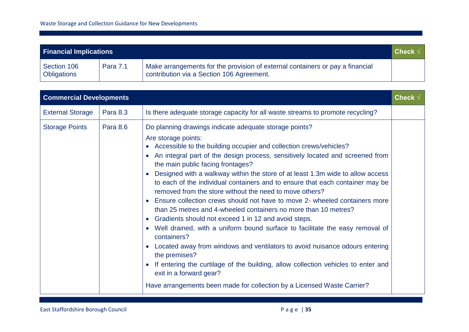| <b>Check</b><br><b>Financial Implications</b> |          |                                                                                                                            |  |
|-----------------------------------------------|----------|----------------------------------------------------------------------------------------------------------------------------|--|
| Section 106<br>Obligations                    | Para 7.1 | Make arrangements for the provision of external containers or pay a financial<br>contribution via a Section 106 Agreement. |  |

| <b>Commercial Developments</b> |                 |                                                                                                                                                                                                                                                                                                                                                                                                                                                                                                                                                                                                                                                                                                                                                                                                                                                                                                                                                                                                                                                                                                            |  |  |
|--------------------------------|-----------------|------------------------------------------------------------------------------------------------------------------------------------------------------------------------------------------------------------------------------------------------------------------------------------------------------------------------------------------------------------------------------------------------------------------------------------------------------------------------------------------------------------------------------------------------------------------------------------------------------------------------------------------------------------------------------------------------------------------------------------------------------------------------------------------------------------------------------------------------------------------------------------------------------------------------------------------------------------------------------------------------------------------------------------------------------------------------------------------------------------|--|--|
| <b>External Storage</b>        | <b>Para 8.3</b> | Is there adequate storage capacity for all waste streams to promote recycling?                                                                                                                                                                                                                                                                                                                                                                                                                                                                                                                                                                                                                                                                                                                                                                                                                                                                                                                                                                                                                             |  |  |
| <b>Storage Points</b>          | Para 8.6        | Do planning drawings indicate adequate storage points?<br>Are storage points:<br>Accessible to the building occupier and collection crews/vehicles?<br>An integral part of the design process, sensitively located and screened from<br>the main public facing frontages?<br>Designed with a walkway within the store of at least 1.3m wide to allow access<br>to each of the individual containers and to ensure that each container may be<br>removed from the store without the need to move others?<br>Ensure collection crews should not have to move 2- wheeled containers more<br>than 25 metres and 4-wheeled containers no more than 10 metres?<br>Gradients should not exceed 1 in 12 and avoid steps.<br>Well drained, with a uniform bound surface to facilitate the easy removal of<br>containers?<br>Located away from windows and ventilators to avoid nuisance odours entering<br>the premises?<br>If entering the curtilage of the building, allow collection vehicles to enter and<br>exit in a forward gear?<br>Have arrangements been made for collection by a Licensed Waste Carrier? |  |  |